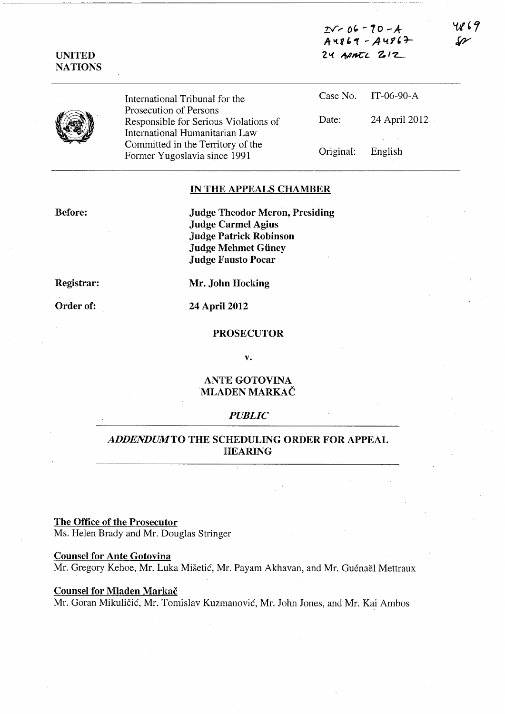*z* $-70-4$  $A4869 - A4867$  $24$  APATL  $212$ 

| ۱Ż | Y<br>D |
|----|--------|

UNITED NATIONS

> International Tribunal for the Prosecution of Persons Responsible for Serious Violations of International Humanitarian Law Committed in the Territory of the Former Yugoslavia since 1991

|           | Case No. IT-06-90-A                |
|-----------|------------------------------------|
| Date:     | 24 April 2012                      |
| Original: | $\lambda$ and $\lambda$<br>English |

## IN THE APPEALS CHAMBER

Before:

Judge Theodor Meron, Presiding Judge Carmel Agius Judge Patrick Robinson Judge Mehmet Giiney Judge Fausto Pocar

Registrar:

Order of:

Mr. John Hocking

24 April 2012

#### PROSECUTOR

v.

## ANTE GOTOVINA MLADEN MARKAC

### *PUBLIC*

# *ADDENDUMTO* THE SCHEDULING ORDER FOR APPEAL HEARING

## The Office of the Prosecutor

Ms. Helen Brady and Mr. Douglas Stringer

## Counsel for Ante Gotovina

Mr. Gregory Kehoe, Mr. Luka Mišetić, Mr. Payam Akhavan, and Mr. Guénaël Mettraux

## Counsel for Mladen Markač

Mr. Goran Mikulicic, Mr. Tomislav Kuzmanovic, Mr. John Jones, and Mr. Kai Ambos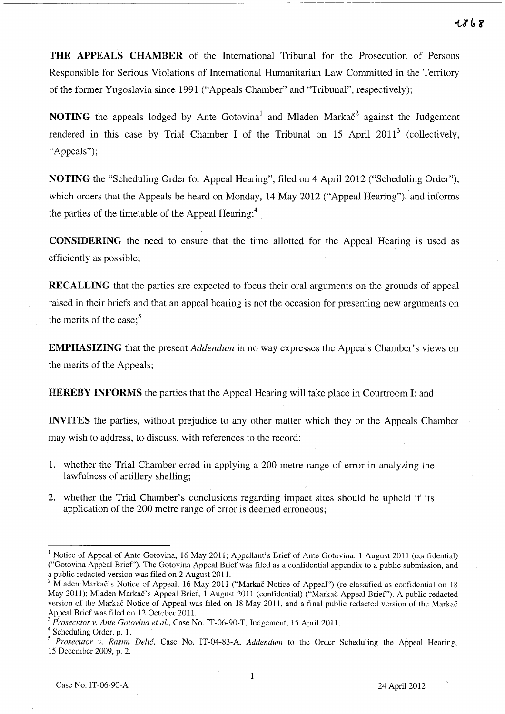**THE APPEALS CHAMBER** of the International Tribunal for the Prosecution of Persons Responsible for Serious Violations of International Humanitarian Law Committed in the Territory of the former Yugoslavia since 1991 ("Appeals Chamber" and "Tribunal", respectively);

**NOTING** the appeals lodged by Ante Gotovina<sup>1</sup> and Mladen Marka $\check{c}^2$  against the Judgement rendered in this case by Trial Chamber I of the Tribunal on 15 April 2011<sup>3</sup> (collectively, "Appeals");

**NOTING** the "Scheduling Order for Appeal Hearing", filed on 4 April 2012 ("Scheduling Order"), which orders that the Appeals be heard on Monday, 14 May 2012 ("Appeal Hearing"), and informs the parties of the timetable of the Appeal Hearing;<sup>4</sup>

**CONSIDERING** the need to ensure that the time allotted for the Appeal Hearing is used as efficiently as possible;

**RECALLING** that the parties are expected to focus their oral arguments on the grounds of appeal raised in their briefs and that an appeal hearing is not the occasion for presenting new arguments on the merits of the case; $<sup>5</sup>$ </sup>

**EMPHASIZING** that the present *Addendum* in no way expresses the Appeals Chamber's views on the merits of the Appeals;

**HEREBY INFORMS** the parties that the Appeal Hearing will take place in Courtroom I; and

**INVITES** the parties, without prejudice to any other matter which they or the Appeals Chamber may wish to address, to discuss, with references to the record:

- 1. whether the Trial Chamber erred in applying a 200 metre range of error in analyzing the lawfulness of artillery shelling;
- 2. whether the Trial Chamber's conclusions regarding impact sites should be upheld if its application of the 200 metre range of error is deemed erroneous;

<sup>&</sup>lt;sup>1</sup> Notice of Appeal of Ante Gotovina, 16 May 2011; Appellant's Brief of Ante Gotovina, 1 August 2011 (confidential) ("Gotovina Appeal Brief'). The Gotovina Appeal Brief was filed as a confidential appendix to a public submission, and a public redacted version was filed on 2 August 2011.

<sup>&</sup>lt;sup>2</sup> Mladen Markač's Notice of Appeal, 16 May 2011 ("Markač Notice of Appeal") (re-classified as confidential on 18 May 2011); Mladen Markac's Appeal Brief, 1 August 2011 (confidential) ("Markac Appeal Brief'). A public redacted version of the Markac Notice of Appeal was filed on 18 May 2011, and a final public redacted version of the Markac Appeal Brief was filed on 12 October 2011.

<sup>3</sup>*Prosecutor v. Ante Gotovina et al.,* Case No. IT-06-90-T, Judgement, 15 April 2011.

<sup>&</sup>lt;sup>4</sup> Scheduling Order, p. 1.

<sup>5</sup>*Prosecutor. v. Rasim Delic,* Case No. IT-04-83-A, *Addendum* to the Order Scheduling the Appeal Hearing, 15 December 2009, p. 2.